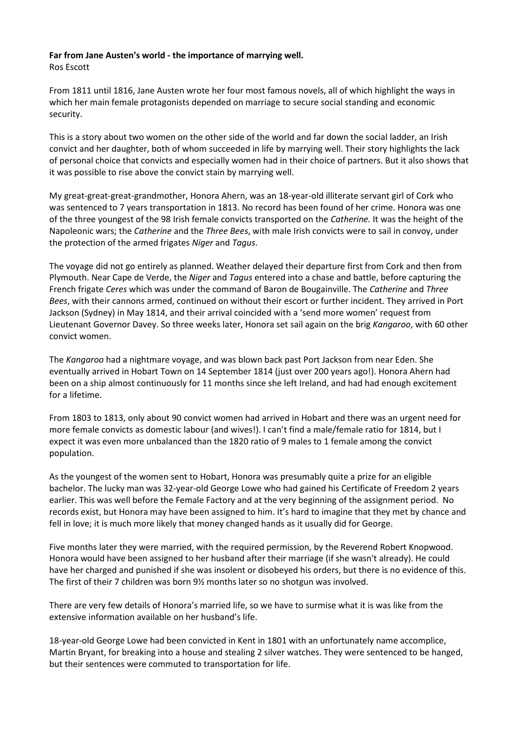## **Far from Jane Austen's world - the importance of marrying well.**

Ros Escott

From 1811 until 1816, Jane Austen wrote her four most famous novels, all of which highlight the ways in which her main female protagonists depended on marriage to secure social standing and economic security.

This is a story about two women on the other side of the world and far down the social ladder, an Irish convict and her daughter, both of whom succeeded in life by marrying well. Their story highlights the lack of personal choice that convicts and especially women had in their choice of partners. But it also shows that it was possible to rise above the convict stain by marrying well.

My great-great-great-grandmother, Honora Ahern, was an 18-year-old illiterate servant girl of Cork who was sentenced to 7 years transportation in 1813. No record has been found of her crime. Honora was one of the three youngest of the 98 Irish female convicts transported on the *Catherine.* It was the height of the Napoleonic wars; the *Catherine* and the *Three Bees*, with male Irish convicts were to sail in convoy, under the protection of the armed frigates *Niger* and *Tagus*.

The voyage did not go entirely as planned. Weather delayed their departure first from Cork and then from Plymouth. Near Cape de Verde, the *Niger* and *Tagus* entered into a chase and battle, before capturing the French frigate *Ceres* which was under the command of Baron de Bougainville. The *Catherine* and *Three Bees*, with their cannons armed, continued on without their escort or further incident. They arrived in Port Jackson (Sydney) in May 1814, and their arrival coincided with a 'send more women' request from Lieutenant Governor Davey. So three weeks later, Honora set sail again on the brig *Kangaroo*, with 60 other convict women.

The *Kangaroo* had a nightmare voyage, and was blown back past Port Jackson from near Eden. She eventually arrived in Hobart Town on 14 September 1814 (just over 200 years ago!). Honora Ahern had been on a ship almost continuously for 11 months since she left Ireland, and had had enough excitement for a lifetime.

From 1803 to 1813, only about 90 convict women had arrived in Hobart and there was an urgent need for more female convicts as domestic labour (and wives!). I can't find a male/female ratio for 1814, but I expect it was even more unbalanced than the 1820 ratio of 9 males to 1 female among the convict population.

As the youngest of the women sent to Hobart, Honora was presumably quite a prize for an eligible bachelor. The lucky man was 32-year-old George Lowe who had gained his Certificate of Freedom 2 years earlier. This was well before the Female Factory and at the very beginning of the assignment period. No records exist, but Honora may have been assigned to him. It's hard to imagine that they met by chance and fell in love; it is much more likely that money changed hands as it usually did for George.

Five months later they were married, with the required permission, by the Reverend Robert Knopwood. Honora would have been assigned to her husband after their marriage (if she wasn't already). He could have her charged and punished if she was insolent or disobeyed his orders, but there is no evidence of this. The first of their 7 children was born 9½ months later so no shotgun was involved.

There are very few details of Honora's married life, so we have to surmise what it is was like from the extensive information available on her husband's life.

18-year-old George Lowe had been convicted in Kent in 1801 with an unfortunately name accomplice, Martin Bryant, for breaking into a house and stealing 2 silver watches. They were sentenced to be hanged, but their sentences were commuted to transportation for life.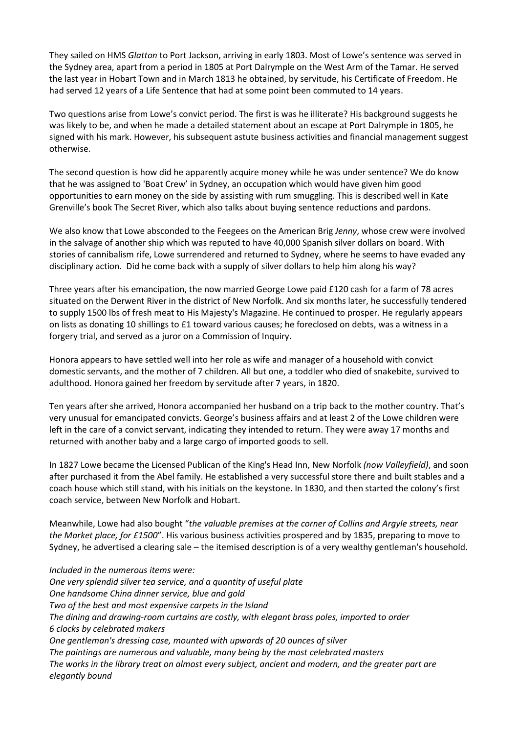They sailed on HMS *Glatton* to Port Jackson, arriving in early 1803. Most of Lowe's sentence was served in the Sydney area, apart from a period in 1805 at Port Dalrymple on the West Arm of the Tamar. He served the last year in Hobart Town and in March 1813 he obtained, by servitude, his Certificate of Freedom. He had served 12 years of a Life Sentence that had at some point been commuted to 14 years.

Two questions arise from Lowe's convict period. The first is was he illiterate? His background suggests he was likely to be, and when he made a detailed statement about an escape at Port Dalrymple in 1805, he signed with his mark. However, his subsequent astute business activities and financial management suggest otherwise.

The second question is how did he apparently acquire money while he was under sentence? We do know that he was assigned to 'Boat Crew' in Sydney, an occupation which would have given him good opportunities to earn money on the side by assisting with rum smuggling. This is described well in Kate Grenville's book The Secret River, which also talks about buying sentence reductions and pardons.

We also know that Lowe absconded to the Feegees on the American Brig *Jenny*, whose crew were involved in the salvage of another ship which was reputed to have 40,000 Spanish silver dollars on board. With stories of cannibalism rife, Lowe surrendered and returned to Sydney, where he seems to have evaded any disciplinary action. Did he come back with a supply of silver dollars to help him along his way?

Three years after his emancipation, the now married George Lowe paid £120 cash for a farm of 78 acres situated on the Derwent River in the district of New Norfolk. And six months later, he successfully tendered to supply 1500 lbs of fresh meat to His Majesty's Magazine. He continued to prosper. He regularly appears on lists as donating 10 shillings to £1 toward various causes; he foreclosed on debts, was a witness in a forgery trial, and served as a juror on a Commission of Inquiry.

Honora appears to have settled well into her role as wife and manager of a household with convict domestic servants, and the mother of 7 children. All but one, a toddler who died of snakebite, survived to adulthood. Honora gained her freedom by servitude after 7 years, in 1820.

Ten years after she arrived, Honora accompanied her husband on a trip back to the mother country. That's very unusual for emancipated convicts. George's business affairs and at least 2 of the Lowe children were left in the care of a convict servant, indicating they intended to return. They were away 17 months and returned with another baby and a large cargo of imported goods to sell.

In 1827 Lowe became the Licensed Publican of the King's Head Inn, New Norfolk *(now Valleyfield)*, and soon after purchased it from the Abel family. He established a very successful store there and built stables and a coach house which still stand, with his initials on the keystone. In 1830, and then started the colony's first coach service, between New Norfolk and Hobart.

Meanwhile, Lowe had also bought "*the valuable premises at the corner of Collins and Argyle streets, near the Market place, for £1500*". His various business activities prospered and by 1835, preparing to move to Sydney, he advertised a clearing sale – the itemised description is of a very wealthy gentleman's household.

*Included in the numerous items were: One very splendid silver tea service, and a quantity of useful plate One handsome China dinner service, blue and gold Two of the best and most expensive carpets in the Island The dining and drawing-room curtains are costly, with elegant brass poles, imported to order 6 clocks by celebrated makers One gentleman's dressing case, mounted with upwards of 20 ounces of silver The paintings are numerous and valuable, many being by the most celebrated masters The works in the library treat on almost every subject, ancient and modern, and the greater part are elegantly bound*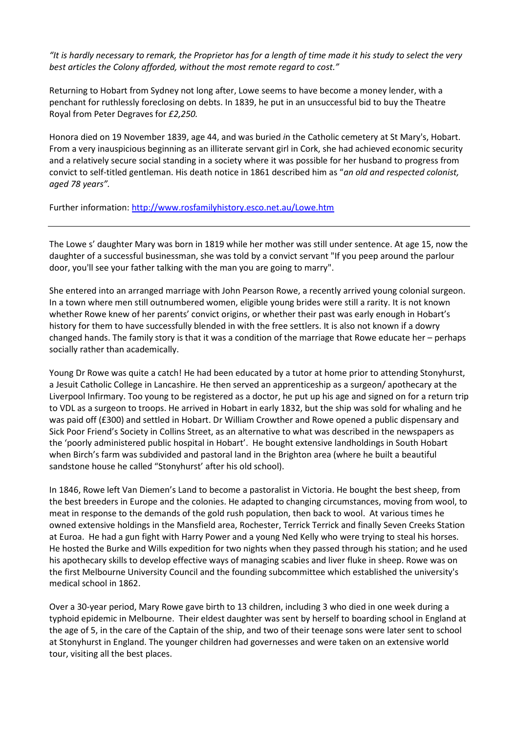*"It is hardly necessary to remark, the Proprietor has for a length of time made it his study to select the very best articles the Colony afforded, without the most remote regard to cost."* 

Returning to Hobart from Sydney not long after, Lowe seems to have become a money lender, with a penchant for ruthlessly foreclosing on debts. In 1839, he put in an unsuccessful bid to buy the Theatre Royal from Peter Degraves for *£2,250.* 

Honora died on 19 November 1839, age 44, and was buried *i*n the Catholic cemetery at St Mary's, Hobart. From a very inauspicious beginning as an illiterate servant girl in Cork, she had achieved economic security and a relatively secure social standing in a society where it was possible for her husband to progress from convict to self-titled gentleman. His death notice in 1861 described him as "*an old and respected colonist, aged 78 years".* 

Further information: http://www.rosfamilyhistory.esco.net.au/Lowe.htm

The Lowe s' daughter Mary was born in 1819 while her mother was still under sentence. At age 15, now the daughter of a successful businessman, she was told by a convict servant "If you peep around the parlour door, you'll see your father talking with the man you are going to marry".

She entered into an arranged marriage with John Pearson Rowe, a recently arrived young colonial surgeon. In a town where men still outnumbered women, eligible young brides were still a rarity. It is not known whether Rowe knew of her parents' convict origins, or whether their past was early enough in Hobart's history for them to have successfully blended in with the free settlers. It is also not known if a dowry changed hands. The family story is that it was a condition of the marriage that Rowe educate her – perhaps socially rather than academically.

Young Dr Rowe was quite a catch! He had been educated by a tutor at home prior to attending Stonyhurst, a Jesuit Catholic College in Lancashire. He then served an apprenticeship as a surgeon/ apothecary at the Liverpool Infirmary. Too young to be registered as a doctor, he put up his age and signed on for a return trip to VDL as a surgeon to troops. He arrived in Hobart in early 1832, but the ship was sold for whaling and he was paid off (£300) and settled in Hobart. Dr William Crowther and Rowe opened a public dispensary and Sick Poor Friend's Society in Collins Street, as an alternative to what was described in the newspapers as the 'poorly administered public hospital in Hobart'. He bought extensive landholdings in South Hobart when Birch's farm was subdivided and pastoral land in the Brighton area (where he built a beautiful sandstone house he called "Stonyhurst' after his old school).

In 1846, Rowe left Van Diemen's Land to become a pastoralist in Victoria. He bought the best sheep, from the best breeders in Europe and the colonies. He adapted to changing circumstances, moving from wool, to meat in response to the demands of the gold rush population, then back to wool. At various times he owned extensive holdings in the Mansfield area, Rochester, Terrick Terrick and finally Seven Creeks Station at Euroa. He had a gun fight with Harry Power and a young Ned Kelly who were trying to steal his horses. He hosted the Burke and Wills expedition for two nights when they passed through his station; and he used his apothecary skills to develop effective ways of managing scabies and liver fluke in sheep. Rowe was on the first Melbourne University Council and the founding subcommittee which established the university's medical school in 1862.

Over a 30-year period, Mary Rowe gave birth to 13 children, including 3 who died in one week during a typhoid epidemic in Melbourne. Their eldest daughter was sent by herself to boarding school in England at the age of 5, in the care of the Captain of the ship, and two of their teenage sons were later sent to school at Stonyhurst in England. The younger children had governesses and were taken on an extensive world tour, visiting all the best places.